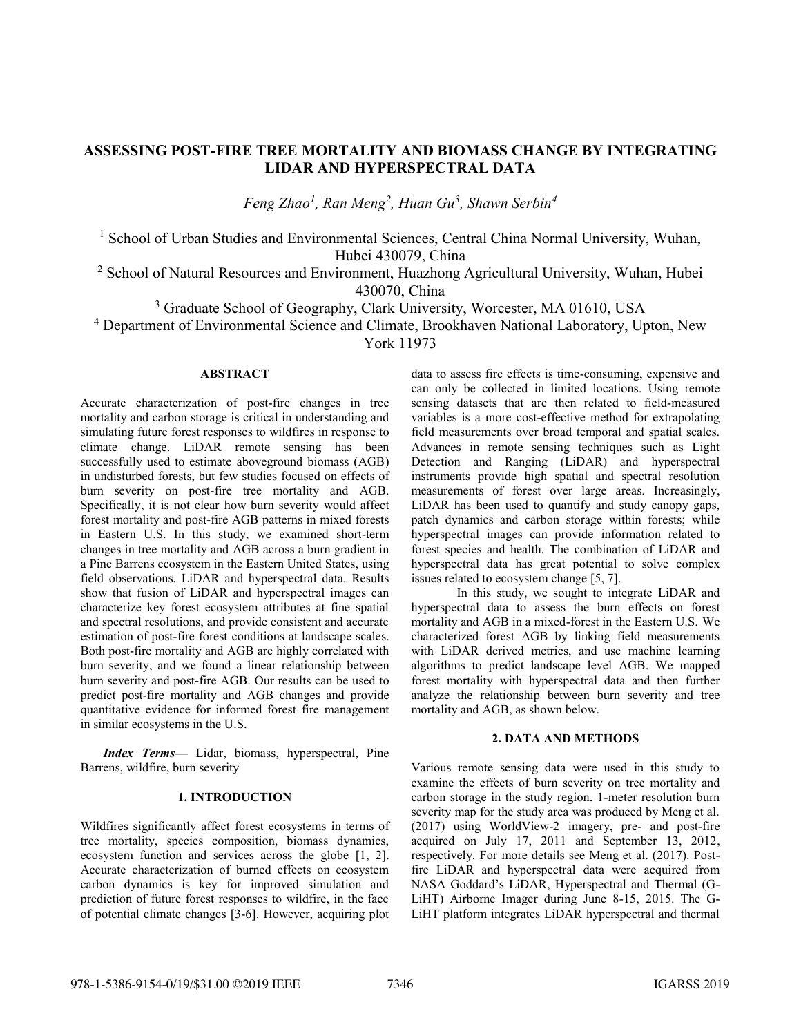# **ASSESSING POST-FIRE TREE MORTALITY AND BIOMASS CHANGE BY INTEGRATING LIDAR AND HYPERSPECTRAL DATA**

*Feng Zhao<sup>1</sup> , Ran Meng<sup>2</sup> , Huan Gu<sup>3</sup> , Shawn Serbin<sup>4</sup>*

<sup>1</sup> School of Urban Studies and Environmental Sciences, Central China Normal University, Wuhan, Hubei 430079, China

<sup>2</sup> School of Natural Resources and Environment, Huazhong Agricultural University, Wuhan, Hubei 430070, China

<sup>3</sup> Graduate School of Geography, Clark University, Worcester, MA 01610, USA

<sup>4</sup> Department of Environmental Science and Climate, Brookhaven National Laboratory, Upton, New

York 11973

### **ABSTRACT**

Accurate characterization of post-fire changes in tree mortality and carbon storage is critical in understanding and simulating future forest responses to wildfires in response to climate change. LiDAR remote sensing has been successfully used to estimate aboveground biomass (AGB) in undisturbed forests, but few studies focused on effects of burn severity on post-fire tree mortality and AGB. Specifically, it is not clear how burn severity would affect forest mortality and post-fire AGB patterns in mixed forests in Eastern U.S. In this study, we examined short-term changes in tree mortality and AGB across a burn gradient in a Pine Barrens ecosystem in the Eastern United States, using field observations, LiDAR and hyperspectral data. Results show that fusion of LiDAR and hyperspectral images can characterize key forest ecosystem attributes at fine spatial and spectral resolutions, and provide consistent and accurate estimation of post-fire forest conditions at landscape scales. Both post-fire mortality and AGB are highly correlated with burn severity, and we found a linear relationship between burn severity and post-fire AGB. Our results can be used to predict post-fire mortality and AGB changes and provide quantitative evidence for informed forest fire management in similar ecosystems in the U.S.

*Index Terms—* Lidar, biomass, hyperspectral, Pine Barrens, wildfire, burn severity

# **1. INTRODUCTION**

Wildfires significantly affect forest ecosystems in terms of tree mortality, species composition, biomass dynamics, ecosystem function and services across the globe [1, 2]. Accurate characterization of burned effects on ecosystem carbon dynamics is key for improved simulation and prediction of future forest responses to wildfire, in the face of potential climate changes [3-6]. However, acquiring plot

data to assess fire effects is time-consuming, expensive and can only be collected in limited locations. Using remote sensing datasets that are then related to field-measured variables is a more cost-effective method for extrapolating field measurements over broad temporal and spatial scales. Advances in remote sensing techniques such as Light Detection and Ranging (LiDAR) and hyperspectral instruments provide high spatial and spectral resolution measurements of forest over large areas. Increasingly, LiDAR has been used to quantify and study canopy gaps, patch dynamics and carbon storage within forests; while hyperspectral images can provide information related to forest species and health. The combination of LiDAR and hyperspectral data has great potential to solve complex issues related to ecosystem change [5, 7].

In this study, we sought to integrate LiDAR and hyperspectral data to assess the burn effects on forest mortality and AGB in a mixed-forest in the Eastern U.S. We characterized forest AGB by linking field measurements with LiDAR derived metrics, and use machine learning algorithms to predict landscape level AGB. We mapped forest mortality with hyperspectral data and then further analyze the relationship between burn severity and tree mortality and AGB, as shown below.

### **2. DATA AND METHODS**

Various remote sensing data were used in this study to examine the effects of burn severity on tree mortality and carbon storage in the study region. 1-meter resolution burn severity map for the study area was produced by Meng et al. (2017) using WorldView-2 imagery, pre- and post-fire acquired on July 17, 2011 and September 13, 2012, respectively. For more details see Meng et al. (2017). Postfire LiDAR and hyperspectral data were acquired from NASA Goddard's LiDAR, Hyperspectral and Thermal (G-LiHT) Airborne Imager during June 8-15, 2015. The G-LiHT platform integrates LiDAR hyperspectral and thermal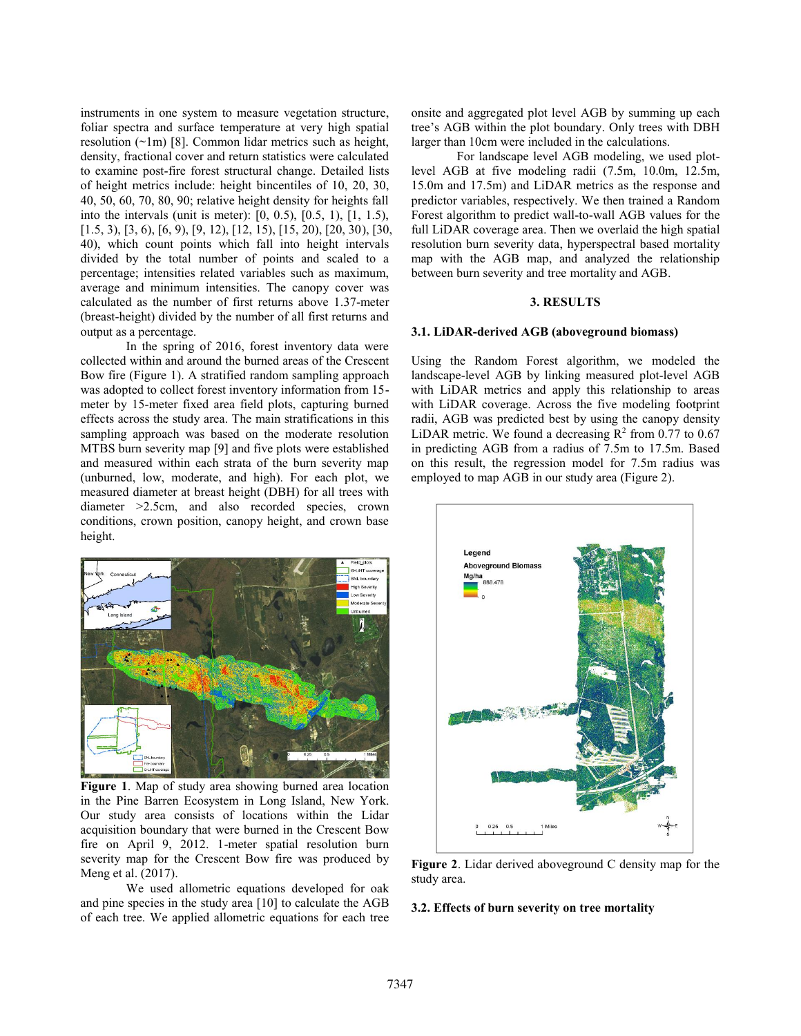instruments in one system to measure vegetation structure, foliar spectra and surface temperature at very high spatial resolution  $(\sim 1m)$  [8]. Common lidar metrics such as height, density, fractional cover and return statistics were calculated to examine post-fire forest structural change. Detailed lists of height metrics include: height bincentiles of 10, 20, 30, 40, 50, 60, 70, 80, 90; relative height density for heights fall into the intervals (unit is meter): [0, 0.5), [0.5, 1), [1, 1.5), [1.5, 3), [3, 6), [6, 9), [9, 12), [12, 15), [15, 20), [20, 30), [30, 40), which count points which fall into height intervals divided by the total number of points and scaled to a percentage; intensities related variables such as maximum, average and minimum intensities. The canopy cover was calculated as the number of first returns above 1.37-meter (breast-height) divided by the number of all first returns and output as a percentage.

In the spring of 2016, forest inventory data were collected within and around the burned areas of the Crescent Bow fire (Figure 1). A stratified random sampling approach was adopted to collect forest inventory information from 15 meter by 15-meter fixed area field plots, capturing burned effects across the study area. The main stratifications in this sampling approach was based on the moderate resolution MTBS burn severity map [9] and five plots were established and measured within each strata of the burn severity map (unburned, low, moderate, and high). For each plot, we measured diameter at breast height (DBH) for all trees with diameter >2.5cm, and also recorded species, crown conditions, crown position, canopy height, and crown base height.



**Figure 1**. Map of study area showing burned area location in the Pine Barren Ecosystem in Long Island, New York. Our study area consists of locations within the Lidar acquisition boundary that were burned in the Crescent Bow fire on April 9, 2012. 1-meter spatial resolution burn severity map for the Crescent Bow fire was produced by Meng et al. (2017).

We used allometric equations developed for oak and pine species in the study area [10] to calculate the AGB of each tree. We applied allometric equations for each tree onsite and aggregated plot level AGB by summing up each tree's AGB within the plot boundary. Only trees with DBH larger than 10cm were included in the calculations.

For landscape level AGB modeling, we used plotlevel AGB at five modeling radii (7.5m, 10.0m, 12.5m, 15.0m and 17.5m) and LiDAR metrics as the response and predictor variables, respectively. We then trained a Random Forest algorithm to predict wall-to-wall AGB values for the full LiDAR coverage area. Then we overlaid the high spatial resolution burn severity data, hyperspectral based mortality map with the AGB map, and analyzed the relationship between burn severity and tree mortality and AGB.

# **3. RESULTS**

#### **3.1. LiDAR-derived AGB (aboveground biomass)**

Using the Random Forest algorithm, we modeled the landscape-level AGB by linking measured plot-level AGB with LiDAR metrics and apply this relationship to areas with LiDAR coverage. Across the five modeling footprint radii, AGB was predicted best by using the canopy density LiDAR metric. We found a decreasing  $\mathbb{R}^2$  from 0.77 to 0.67 in predicting AGB from a radius of 7.5m to 17.5m. Based on this result, the regression model for 7.5m radius was employed to map AGB in our study area (Figure 2).



**Figure 2**. Lidar derived aboveground C density map for the study area.

#### **3.2. Effects of burn severity on tree mortality**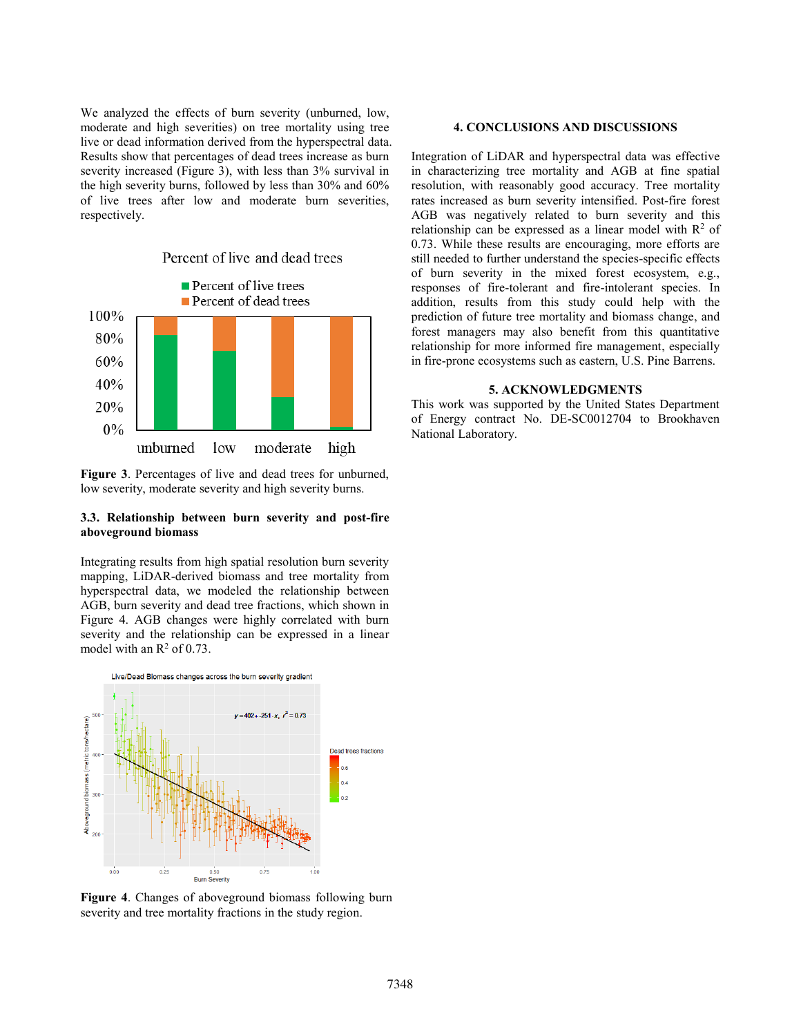We analyzed the effects of burn severity (unburned, low, moderate and high severities) on tree mortality using tree live or dead information derived from the hyperspectral data. Results show that percentages of dead trees increase as burn severity increased (Figure 3), with less than 3% survival in the high severity burns, followed by less than 30% and 60% of live trees after low and moderate burn severities, respectively.



**Figure 3**. Percentages of live and dead trees for unburned, low severity, moderate severity and high severity burns.

# **3.3. Relationship between burn severity and post-fire aboveground biomass**

Integrating results from high spatial resolution burn severity mapping, LiDAR-derived biomass and tree mortality from hyperspectral data, we modeled the relationship between AGB, burn severity and dead tree fractions, which shown in Figure 4. AGB changes were highly correlated with burn severity and the relationship can be expressed in a linear model with an  $\mathbb{R}^2$  of 0.73.



**Figure 4**. Changes of aboveground biomass following burn severity and tree mortality fractions in the study region.

### **4. CONCLUSIONS AND DISCUSSIONS**

Integration of LiDAR and hyperspectral data was effective in characterizing tree mortality and AGB at fine spatial resolution, with reasonably good accuracy. Tree mortality rates increased as burn severity intensified. Post-fire forest AGB was negatively related to burn severity and this relationship can be expressed as a linear model with  $\mathbb{R}^2$  of 0.73. While these results are encouraging, more efforts are still needed to further understand the species-specific effects of burn severity in the mixed forest ecosystem, e.g., responses of fire-tolerant and fire-intolerant species. In addition, results from this study could help with the prediction of future tree mortality and biomass change, and forest managers may also benefit from this quantitative relationship for more informed fire management, especially in fire-prone ecosystems such as eastern, U.S. Pine Barrens.

#### **5. ACKNOWLEDGMENTS**

This work was supported by the United States Department of Energy contract No. DE-SC0012704 to Brookhaven National Laboratory.